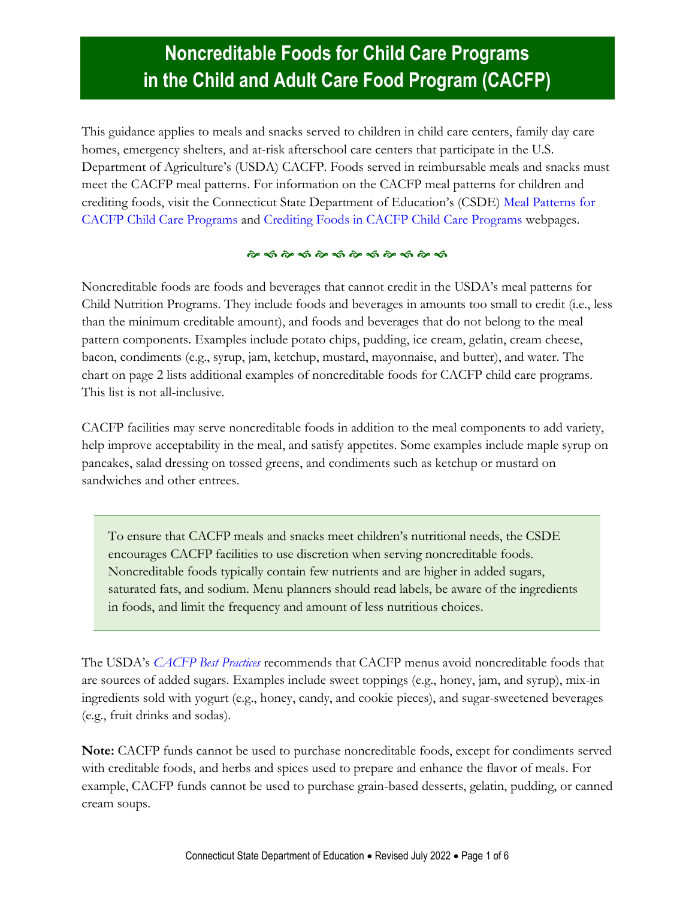# **Noncreditable Foods for Child Care Programs in the Child and Adult Care Food Program (CACFP)**

This guidance applies to meals and snacks served to children in child care centers, family day care homes, emergency shelters, and at-risk afterschool care centers that participate in the U.S. Department of Agriculture's (USDA) CACFP. Foods served in reimbursable meals and snacks must meet the CACFP meal patterns. For information on the CACFP meal patterns for children and crediting foods, visit the Connecticut State Department of Education's (CSDE) [Meal Patterns for](https://portal.ct.gov/SDE/Nutrition/Meal-Patterns-CACFP-Child-Care-Programs)  [CACFP Child Care Programs](https://portal.ct.gov/SDE/Nutrition/Meal-Patterns-CACFP-Child-Care-Programs) and [Crediting Foods in CACFP Child Care Programs](https://portal.ct.gov/SDE/Nutrition/Crediting-Foods-in-CACFP-Child-Care-Programs) webpages.

#### 

Noncreditable foods are foods and beverages that cannot credit in the USDA's meal patterns for Child Nutrition Programs. They include foods and beverages in amounts too small to credit (i.e., less than the minimum creditable amount), and foods and beverages that do not belong to the meal pattern components. Examples include potato chips, pudding, ice cream, gelatin, cream cheese, bacon, condiments (e.g., syrup, jam, ketchup, mustard, mayonnaise, and butter), and water. The chart on page 2 lists additional examples of noncreditable foods for CACFP child care programs. This list is not all-inclusive.

CACFP facilities may serve noncreditable foods in addition to the meal components to add variety, help improve acceptability in the meal, and satisfy appetites. Some examples include maple syrup on pancakes, salad dressing on tossed greens, and condiments such as ketchup or mustard on sandwiches and other entrees.

To ensure that CACFP meals and snacks meet children's nutritional needs, the CSDE encourages CACFP facilities to use discretion when serving noncreditable foods. Noncreditable foods typically contain few nutrients and are higher in added sugars, saturated fats, and sodium. Menu planners should read labels, be aware of the ingredients in foods, and limit the frequency and amount of less nutritious choices.

The USDA's *[CACFP Best Practices](https://fns-prod.azureedge.net/sites/default/files/cacfp/CACFP_factBP.pdf)* recommends that CACFP menus avoid noncreditable foods that are sources of added sugars. Examples include sweet toppings (e.g., honey, jam, and syrup), mix-in ingredients sold with yogurt (e.g., honey, candy, and cookie pieces), and sugar-sweetened beverages (e.g., fruit drinks and sodas).

**Note:** CACFP funds cannot be used to purchase noncreditable foods, except for condiments served with creditable foods, and herbs and spices used to prepare and enhance the flavor of meals. For example, CACFP funds cannot be used to purchase grain-based desserts, gelatin, pudding, or canned cream soups.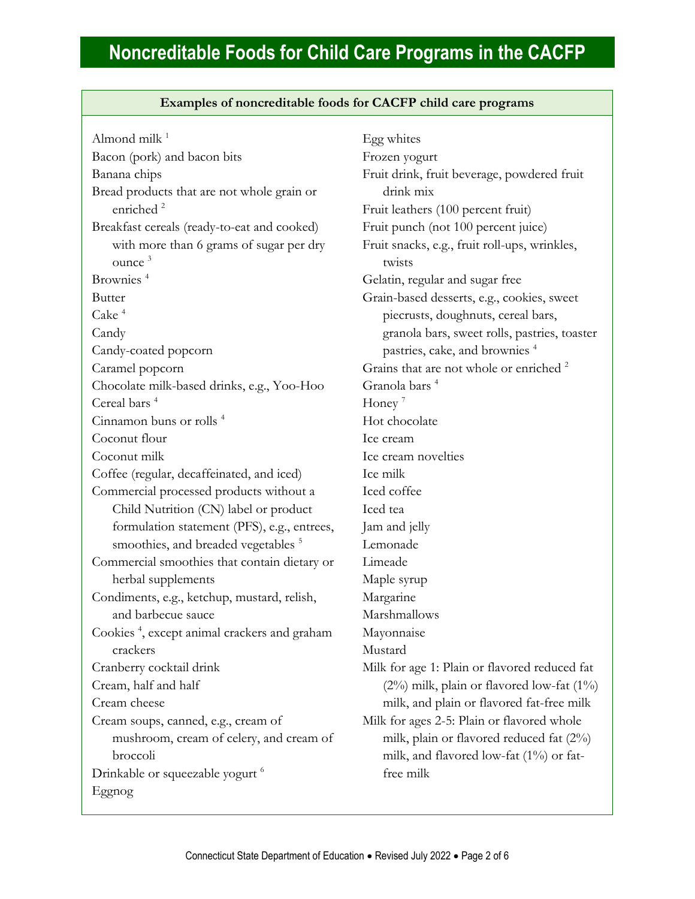| Examples of noncreditable foods for CACFP child care programs        |                                                         |
|----------------------------------------------------------------------|---------------------------------------------------------|
| Almond milk <sup>1</sup>                                             | Egg whites                                              |
| Bacon (pork) and bacon bits                                          | Frozen yogurt                                           |
| Banana chips                                                         | Fruit drink, fruit beverage, powdered fruit             |
| Bread products that are not whole grain or                           | drink mix                                               |
| enriched <sup>2</sup>                                                | Fruit leathers (100 percent fruit)                      |
| Breakfast cereals (ready-to-eat and cooked)                          | Fruit punch (not 100 percent juice)                     |
| with more than 6 grams of sugar per dry<br>$\omega$ nce <sup>3</sup> | Fruit snacks, e.g., fruit roll-ups, wrinkles,<br>twists |
| Brownies <sup>4</sup>                                                | Gelatin, regular and sugar free                         |
| <b>Butter</b>                                                        | Grain-based desserts, e.g., cookies, sweet              |
| Cake <sup>4</sup>                                                    | piecrusts, doughnuts, cereal bars,                      |
| Candy                                                                | granola bars, sweet rolls, pastries, toast              |
| Candy-coated popcorn                                                 | pastries, cake, and brownies <sup>4</sup>               |
| Caramel popcorn                                                      | Grains that are not whole or enriched <sup>2</sup>      |
| Chocolate milk-based drinks, e.g., Yoo-Hoo                           | Granola bars <sup>4</sup>                               |
| Cereal bars <sup>4</sup>                                             | Honey <sup>7</sup>                                      |
| Cinnamon buns or rolls <sup>4</sup>                                  | Hot chocolate                                           |
| Coconut flour                                                        | Ice cream                                               |
| Coconut milk                                                         | Ice cream novelties                                     |
| Coffee (regular, decaffeinated, and iced)                            | Ice milk                                                |
| Commercial processed products without a                              | Iced coffee                                             |
| Child Nutrition (CN) label or product                                | Iced tea                                                |
| formulation statement (PFS), e.g., entrees,                          | Jam and jelly                                           |
| smoothies, and breaded vegetables <sup>5</sup>                       | Lemonade                                                |
| Commercial smoothies that contain dietary or                         | Limeade                                                 |
|                                                                      |                                                         |

herbal supplements Condiments, e.g., ketchup, mustard, relish, and barbecue sauce

Cookies <sup>4</sup> , except animal crackers and graham crackers

Cranberry cocktail drink

Cream, half and half

Cream cheese

Cream soups, canned, e.g., cream of mushroom, cream of celery, and cream of broccoli Drinkable or squeezable yogurt<sup>6</sup>

Eggnog

Fruit leathers (100 percent fruit) t juice) ps, wrinkles, okies, sweet eal bars, pastries, toaster  $n$ ies<sup>4</sup> enriched <sup>2</sup> Maple syrup Margarine Marshmallows Mayonnaise Mustard Milk for age 1: Plain or flavored reduced fat  $(2\%)$  milk, plain or flavored low-fat  $(1\%)$ milk, and plain or flavored fat-free milk Milk for ages 2-5: Plain or flavored whole milk, plain or flavored reduced fat (2%) milk, and flavored low-fat (1%) or fat-

free milk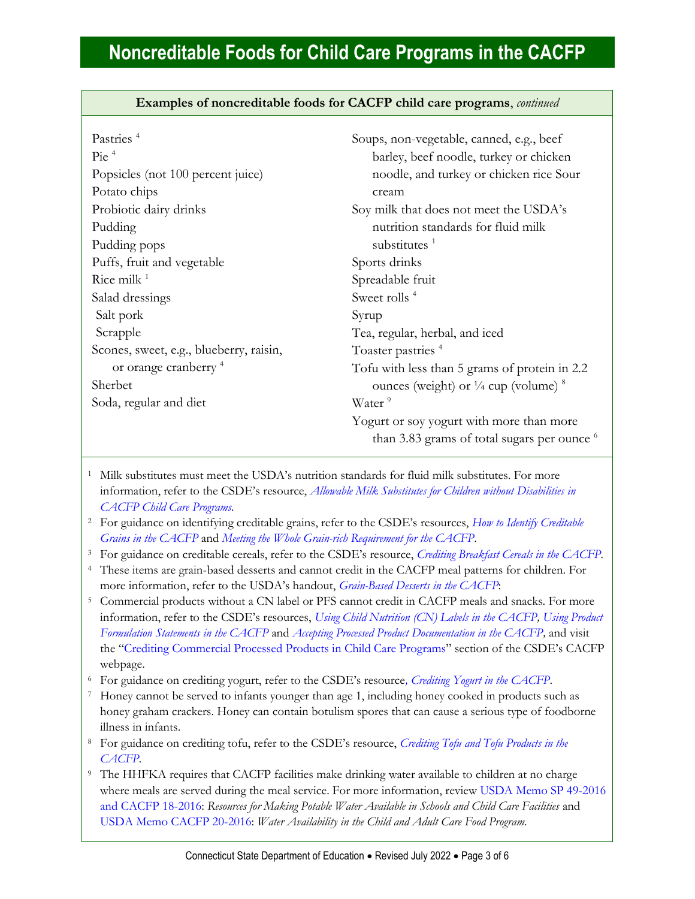**Examples of noncreditable foods for CACFP child care programs**, *continued*

| Pastries <sup>4</sup>                   | Soups, non-vegetable, canned, e.g., beef                    |
|-----------------------------------------|-------------------------------------------------------------|
| $Pic$ <sup>4</sup>                      | barley, beef noodle, turkey or chicken                      |
| Popsicles (not 100 percent juice)       | noodle, and turkey or chicken rice Sour                     |
| Potato chips                            | cream                                                       |
| Probiotic dairy drinks                  | Soy milk that does not meet the USDA's                      |
| Pudding                                 | nutrition standards for fluid milk                          |
| Pudding pops                            | substitutes $1$                                             |
| Puffs, fruit and vegetable              | Sports drinks                                               |
| Rice milk $1$                           | Spreadable fruit                                            |
| Salad dressings                         | Sweet rolls <sup>4</sup>                                    |
| Salt pork                               | Syrup                                                       |
| Scrapple                                | Tea, regular, herbal, and iced                              |
| Scones, sweet, e.g., blueberry, raisin, | Toaster pastries <sup>4</sup>                               |
| or orange cranberry <sup>4</sup>        | Tofu with less than 5 grams of protein in 2.2               |
| Sherbet                                 | ounces (weight) or $\frac{1}{4}$ cup (volume) $\frac{8}{4}$ |
| Soda, regular and diet                  | Water <sup>9</sup>                                          |
|                                         | Yogurt or soy yogurt with more than more                    |
|                                         | than 3.83 grams of total sugars per ounce <sup>6</sup>      |
|                                         |                                                             |

<sup>1</sup> Milk substitutes must meet the USDA's nutrition standards for fluid milk substitutes. For more information, refer to the CSDE's resource, *[Allowable Milk Substitutes for Children without Disabilities in](https://portal.ct.gov/-/media/SDE/Nutrition/CACFP/SpecDiet/Milk_Substitutes_CACFP.pdf)  [CACFP Child Care Programs.](https://portal.ct.gov/-/media/SDE/Nutrition/CACFP/SpecDiet/Milk_Substitutes_CACFP.pdf)*

<sup>2</sup> For guidance on identifying creditable grains, refer to the CSDE's resources, *[How to Identify Creditable](https://portal.ct.gov/-/media/SDE/Nutrition/CACFP/Crediting/Identify_Creditable_Grains_CACFP.pdf)  [Grains in the CACFP](https://portal.ct.gov/-/media/SDE/Nutrition/CACFP/Crediting/Identify_Creditable_Grains_CACFP.pdf)* and *[Meeting the Whole Grain-rich Requirement for the CACFP](https://portal.ct.gov/-/media/SDE/Nutrition/CACFP/Crediting/WGR_Requirement_CACFP.pdf)*.

<sup>3</sup> For guidance on creditable cereals, refer to the CSDE's resource, *[Crediting Breakfast Cereals in the CACFP.](https://portal.ct.gov/-/media/SDE/Nutrition/CACFP/Crediting/Credit_Cereals_CACFP.pdf)*

<sup>4</sup> These items are grain-based desserts and cannot credit in the CACFP meal patterns for children. For more information, refer to the USDA's handout, *[Grain-Based Desserts in the CACFP](https://fns-prod.azureedge.net/sites/default/files/tn/CACFPGrainBasedDesserts.pdf)*:

<sup>5</sup> Commercial products without a CN label or PFS cannot credit in CACFP meals and snacks. For more information, refer to the CSDE's resources, *[Using Child Nutrition \(CN\) Labels](https://portal.ct.gov/-/media/SDE/Nutrition/CACFP/Crediting/Using_CN_labels_CACFP.pdf) in the CACFP, [Using Product](http://portal.ct.gov/-/media/SDE/Nutrition/CACFP/Crediting/Using_Product_Formulation_Statements_CACFP.pdf)  [Formulation Statements in the CACFP](http://portal.ct.gov/-/media/SDE/Nutrition/CACFP/Crediting/Using_Product_Formulation_Statements_CACFP.pdf)* and *[Accepting Processed Product Documentation in the CACFP,](https://portal.ct.gov/-/media/SDE/Nutrition/CACFP/Crediting/Accepting_Processed_Product_Documentation_CACFP.pdf)* and visit the "[Crediting Commercial Processed Products in Child Care Programs](https://portal.ct.gov/SDE/Nutrition/Crediting-Foods-in-CACFP-Child-Care-Programs/Documents#CommercialProducts)" section of the CSDE's CACFP webpage.

<sup>6</sup> For guidance on crediting yogurt, refer to the CSDE's resource*, [Crediting Yogurt in the CACFP](https://portal.ct.gov/-/media/SDE/Nutrition/CACFP/Crediting/Credit_Yogurt_CACFP.pdf)*.

<sup>7</sup> Honey cannot be served to infants younger than age 1, including honey cooked in products such as honey graham crackers. Honey can contain botulism spores that can cause a serious type of foodborne illness in infants.

<sup>8</sup> For guidance on crediting tofu, refer to the CSDE's resource, *[Crediting Tofu and Tofu Products in the](https://portal.ct.gov/-/media/SDE/Nutrition/CACFP/Crediting/Credit_Tofu_CACFP.pdf)  [CACFP.](https://portal.ct.gov/-/media/SDE/Nutrition/CACFP/Crediting/Credit_Tofu_CACFP.pdf)*

<sup>9</sup> The HHFKA requires that CACFP facilities make drinking water available to children at no charge where meals are served during the meal service. For more information, revie[w USDA Memo SP 49-2016](https://www.fns.usda.gov/resources-making-potable-water-available-schools-and-child-care-facilities-0)  [and CACFP 18-2016:](https://www.fns.usda.gov/resources-making-potable-water-available-schools-and-child-care-facilities-0) *Resources for Making Potable Water Available in Schools and Child Care Facilities* and [USDA Memo CACFP 20-2016:](https://www.fns.usda.gov/cacfp/water-availability-child-and-adult-care-food-program) *Water Availability in the Child and Adult Care Food Program.*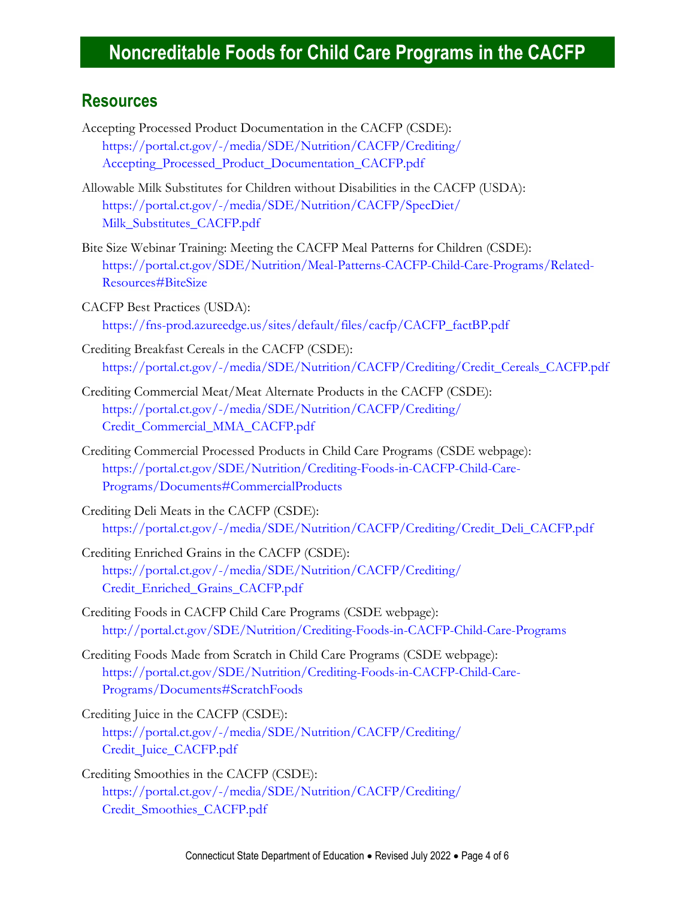#### **Resources**

- Accepting Processed Product Documentation in the CACFP (CSDE): [https://portal.ct.gov/-/media/SDE/Nutrition/CACFP/Crediting/](https://portal.ct.gov/-/media/SDE/Nutrition/CACFP/Crediting/Accepting_Processed_Product_Documentation_CACFP.pdf) [Accepting\\_Processed\\_Product\\_Documentation\\_CACFP.pdf](https://portal.ct.gov/-/media/SDE/Nutrition/CACFP/Crediting/Accepting_Processed_Product_Documentation_CACFP.pdf)
- Allowable Milk Substitutes for Children without Disabilities in the CACFP (USDA): [https://portal.ct.gov/-/media/SDE/Nutrition/CACFP/SpecDiet/](https://portal.ct.gov/-/media/SDE/Nutrition/CACFP/SpecDiet/‌Milk_Substitutes_CACFP.pdf) [Milk\\_Substitutes\\_CACFP.pdf](https://portal.ct.gov/-/media/SDE/Nutrition/CACFP/SpecDiet/‌Milk_Substitutes_CACFP.pdf)
- Bite Size Webinar Training: Meeting the CACFP Meal Patterns for Children (CSDE): [https://portal.ct.gov/SDE/Nutrition/Meal-Patterns-CACFP-Child-Care-Programs/Related-](https://portal.ct.gov/SDE/Nutrition/Meal-Patterns-CACFP-Child-Care-Programs/Related-Resources#BiteSize)[Resources#BiteSize](https://portal.ct.gov/SDE/Nutrition/Meal-Patterns-CACFP-Child-Care-Programs/Related-Resources#BiteSize)
- CACFP Best Practices (USDA): [https://fns-prod.azureedge.us/sites/default/files/cacfp/CACFP\\_factBP.pdf](https://fns-prod.azureedge.us/sites/default/files/cacfp/CACFP_factBP.pdf)
- Crediting Breakfast Cereals in the CACFP (CSDE): [https://portal.ct.gov/-/media/SDE/Nutrition/CACFP/Crediting/Credit\\_Cereals\\_CACFP.pdf](https://portal.ct.gov/-/media/SDE/Nutrition/CACFP/Crediting/Credit_Cereals_CACFP.pdf)
- Crediting Commercial Meat/Meat Alternate Products in the CACFP (CSDE): [https://portal.ct.gov/-/media/SDE/Nutrition/CACFP/Crediting/](https://portal.ct.gov/-/media/SDE/Nutrition/CACFP/Crediting/‌Credit_Commercial_MMA_CACFP.pdf) [Credit\\_Commercial\\_MMA\\_CACFP.pdf](https://portal.ct.gov/-/media/SDE/Nutrition/CACFP/Crediting/‌Credit_Commercial_MMA_CACFP.pdf)
- Crediting Commercial Processed Products in Child Care Programs (CSDE webpage): [https://portal.ct.gov/SDE/Nutrition/Crediting-Foods-in-CACFP-Child-Care-](https://portal.ct.gov/SDE/Nutrition/Crediting-Foods-in-CACFP-Child-Care-Programs/Documents#CommercialProducts)[Programs/Documents#CommercialProducts](https://portal.ct.gov/SDE/Nutrition/Crediting-Foods-in-CACFP-Child-Care-Programs/Documents#CommercialProducts)
- Crediting Deli Meats in the CACFP (CSDE): [https://portal.ct.gov/-/media/SDE/Nutrition/CACFP/Crediting/Credit\\_Deli\\_CACFP.pdf](https://portal.ct.gov/-/media/SDE/Nutrition/CACFP/Crediting/Credit_Deli_CACFP.pdf)
- Crediting Enriched Grains in the CACFP (CSDE): [https://portal.ct.gov/-/media/SDE/Nutrition/CACFP/Crediting/](https://portal.ct.gov/-/media/SDE/Nutrition/CACFP/Crediting/‌Credit_Enriched_Grains_CACFP.pdf) [Credit\\_Enriched\\_Grains\\_CACFP.pdf](https://portal.ct.gov/-/media/SDE/Nutrition/CACFP/Crediting/‌Credit_Enriched_Grains_CACFP.pdf)
- Crediting Foods in CACFP Child Care Programs (CSDE webpage): <http://portal.ct.gov/SDE/Nutrition/Crediting-Foods-in-CACFP-Child-Care-Programs>
- Crediting Foods Made from Scratch in Child Care Programs (CSDE webpage): [https://portal.ct.gov/SDE/Nutrition/Crediting-Foods-in-CACFP-Child-Care-](https://portal.ct.gov/SDE/Nutrition/Crediting-Foods-in-CACFP-Child-Care-Programs/Documents#ScratchFoods)[Programs/Documents#ScratchFoods](https://portal.ct.gov/SDE/Nutrition/Crediting-Foods-in-CACFP-Child-Care-Programs/Documents#ScratchFoods)
- Crediting Juice in the CACFP (CSDE):

[https://portal.ct.gov/-/media/SDE/Nutrition/CACFP/Crediting/](https://portal.ct.gov/-/media/SDE/Nutrition/CACFP/Crediting/Credit_Juice_CACFP.pdf) [Credit\\_Juice\\_CACFP.pdf](https://portal.ct.gov/-/media/SDE/Nutrition/CACFP/Crediting/Credit_Juice_CACFP.pdf)

Crediting Smoothies in the CACFP (CSDE): [https://portal.ct.gov/-/media/SDE/Nutrition/CACFP/Crediting/](https://portal.ct.gov/-/media/SDE/Nutrition/CACFP/Crediting/Credit_Smoothies_CACFP.pdf) [Credit\\_Smoothies\\_CACFP.pdf](https://portal.ct.gov/-/media/SDE/Nutrition/CACFP/Crediting/Credit_Smoothies_CACFP.pdf)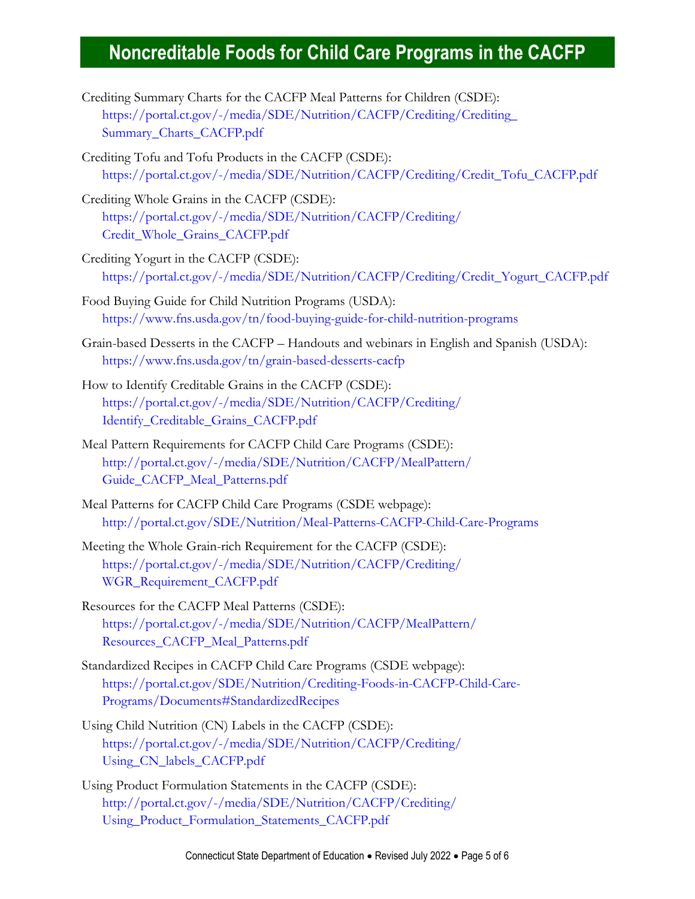- Crediting Summary Charts for the CACFP Meal Patterns for Children (CSDE): [https://portal.ct.gov/-/media/SDE/Nutrition/CACFP/Crediting/Crediting\\_](https://portal.ct.gov/-/media/SDE/Nutrition/CACFP/Crediting/Crediting_Summary_Charts_CACFP.pdf) [Summary\\_Charts\\_CACFP.pdf](https://portal.ct.gov/-/media/SDE/Nutrition/CACFP/Crediting/Crediting_Summary_Charts_CACFP.pdf)
- Crediting Tofu and Tofu Products in the CACFP (CSDE): [https://portal.ct.gov/-/media/SDE/Nutrition/CACFP/Crediting/Credit\\_Tofu\\_CACFP.pdf](https://portal.ct.gov/-/media/SDE/Nutrition/CACFP/Crediting/Credit_Tofu_CACFP.pdf)
- Crediting Whole Grains in the CACFP (CSDE): [https://portal.ct.gov/-/media/SDE/Nutrition/CACFP/Crediting/](https://portal.ct.gov/-/media/SDE/Nutrition/CACFP/Crediting/Credit_Whole_Grains_CACFP.pdf) [Credit\\_Whole\\_Grains\\_CACFP.pdf](https://portal.ct.gov/-/media/SDE/Nutrition/CACFP/Crediting/Credit_Whole_Grains_CACFP.pdf)
- Crediting Yogurt in the CACFP (CSDE): [https://portal.ct.gov/-/media/SDE/Nutrition/CACFP/Crediting/Credit\\_Yogurt\\_CACFP.pdf](https://portal.ct.gov/-/media/SDE/Nutrition/CACFP/Crediting/Credit_Yogurt_CACFP.pdf)
- Food Buying Guide for Child Nutrition Programs (USDA): <https://www.fns.usda.gov/tn/food-buying-guide-for-child-nutrition-programs>
- Grain-based Desserts in the CACFP Handouts and webinars in English and Spanish (USDA): <https://www.fns.usda.gov/tn/grain-based-desserts-cacfp>
- How to Identify Creditable Grains in the CACFP (CSDE): [https://portal.ct.gov/-/media/SDE/Nutrition/CACFP/Crediting/](https://portal.ct.gov/-/media/SDE/Nutrition/CACFP/Crediting/Identify_Creditable_Grains_CACFP.pdf) [Identify\\_Creditable\\_Grains\\_CACFP.pdf](https://portal.ct.gov/-/media/SDE/Nutrition/CACFP/Crediting/Identify_Creditable_Grains_CACFP.pdf)
- Meal Pattern Requirements for CACFP Child Care Programs (CSDE): [http://portal.ct.gov/-/media/SDE/Nutrition/CACFP/MealPattern/](http://portal.ct.gov/-/media/SDE/Nutrition/CACFP/MealPattern/‌Guide_CACFP_Meal_Patterns.pdf) [Guide\\_CACFP\\_Meal\\_Patterns.pdf](http://portal.ct.gov/-/media/SDE/Nutrition/CACFP/MealPattern/‌Guide_CACFP_Meal_Patterns.pdf)
- Meal Patterns for CACFP Child Care Programs (CSDE webpage): <http://portal.ct.gov/SDE/Nutrition/Meal-Patterns-CACFP-Child-Care-Programs>
- Meeting the Whole Grain-rich Requirement for the CACFP (CSDE): [https://portal.ct.gov/-/media/SDE/Nutrition/CACFP/Crediting/](https://portal.ct.gov/-/media/SDE/Nutrition/CACFP/Crediting/WGR_Requirement_CACFP.pdf) [WGR\\_Requirement\\_CACFP.pdf](https://portal.ct.gov/-/media/SDE/Nutrition/CACFP/Crediting/WGR_Requirement_CACFP.pdf)
- Resources for the CACFP Meal Patterns (CSDE): [https://portal.ct.gov/-/media/SDE/Nutrition/CACFP/MealPattern/](https://portal.ct.gov/-/media/SDE/Nutrition/CACFP/MealPattern/Resources_CACFP_Meal_Patterns.pdf) [Resources\\_CACFP\\_Meal\\_Patterns.pdf](https://portal.ct.gov/-/media/SDE/Nutrition/CACFP/MealPattern/Resources_CACFP_Meal_Patterns.pdf)
- Standardized Recipes in CACFP Child Care Programs (CSDE webpage): [https://portal.ct.gov/SDE/Nutrition/Crediting-Foods-in-CACFP-Child-Care-](https://portal.ct.gov/SDE/Nutrition/Crediting-Foods-in-CACFP-Child-Care-Programs/Documents#StandardizedRecipes)[Programs/Documents#StandardizedRecipes](https://portal.ct.gov/SDE/Nutrition/Crediting-Foods-in-CACFP-Child-Care-Programs/Documents#StandardizedRecipes)
- Using Child Nutrition (CN) Labels in the CACFP (CSDE): [https://portal.ct.gov/-/media/SDE/Nutrition/CACFP/Crediting/](https://portal.ct.gov/-/media/SDE/Nutrition/CACFP/Crediting/‌Using_CN_labels_CACFP.pdf) [Using\\_CN\\_labels\\_CACFP.pdf](https://portal.ct.gov/-/media/SDE/Nutrition/CACFP/Crediting/‌Using_CN_labels_CACFP.pdf)
- Using Product Formulation Statements in the CACFP (CSDE): [http://portal.ct.gov/-/media/SDE/Nutrition/CACFP/Crediting/](http://portal.ct.gov/-/media/SDE/Nutrition/CACFP/Crediting/Using_Product_Formulation_Statements_CACFP.pdf) [Using\\_Product\\_Formulation\\_Statements\\_CACFP.pdf](http://portal.ct.gov/-/media/SDE/Nutrition/CACFP/Crediting/Using_Product_Formulation_Statements_CACFP.pdf)